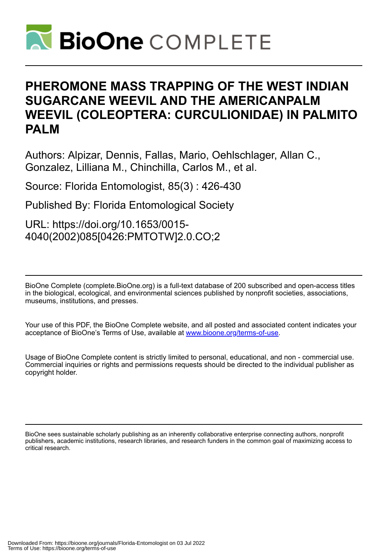

# **PHEROMONE MASS TRAPPING OF THE WEST INDIAN SUGARCANE WEEVIL AND THE AMERICANPALM WEEVIL (COLEOPTERA: CURCULIONIDAE) IN PALMITO PALM**

Authors: Alpizar, Dennis, Fallas, Mario, Oehlschlager, Allan C., Gonzalez, Lilliana M., Chinchilla, Carlos M., et al.

Source: Florida Entomologist, 85(3) : 426-430

Published By: Florida Entomological Society

URL: https://doi.org/10.1653/0015- 4040(2002)085[0426:PMTOTW]2.0.CO;2

BioOne Complete (complete.BioOne.org) is a full-text database of 200 subscribed and open-access titles in the biological, ecological, and environmental sciences published by nonprofit societies, associations, museums, institutions, and presses.

Your use of this PDF, the BioOne Complete website, and all posted and associated content indicates your acceptance of BioOne's Terms of Use, available at www.bioone.org/terms-of-use.

Usage of BioOne Complete content is strictly limited to personal, educational, and non - commercial use. Commercial inquiries or rights and permissions requests should be directed to the individual publisher as copyright holder.

BioOne sees sustainable scholarly publishing as an inherently collaborative enterprise connecting authors, nonprofit publishers, academic institutions, research libraries, and research funders in the common goal of maximizing access to critical research.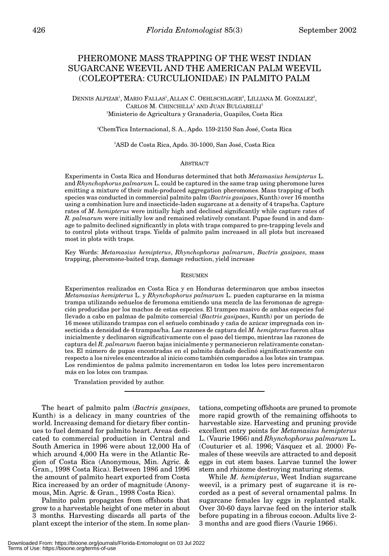# PHEROMONE MASS TRAPPING OF THE WEST INDIAN SUGARCANE WEEVIL AND THE AMERICAN PALM WEEVIL (COLEOPTERA: CURCULIONIDAE) IN PALMITO PALM

DENNIS ALPIZAR<sup>1</sup>, MARIO FALLAS<sup>1</sup>, ALLAN C. OEHLSCHLAGER<sup>2</sup>, LILLIANA M. GONZALEZ<sup>2</sup>, CARLOS M. CHINCHILLA<sup>3</sup> AND JUAN BULGARELLI<sup>3</sup> 1 Ministerio de Agricultura y Granaderia, Guapiles, Costa Rica

#### 2 ChemTica Internacional, S. A., Apdo. 159-2150 San José, Costa Rica

3 ASD de Costa Rica, Apdo. 30-1000, San José, Costa Rica

#### ABSTRACT

Experiments in Costa Rica and Honduras determined that both *Metamasius hemipterus* L. and *Rhynchophorus palmarum* L. could be captured in the same trap using pheromone lures emitting a mixture of their male-produced aggregation pheromones. Mass trapping of both species was conducted in commercial palmito palm (*Bactris gasipaes*, Kunth) over 16 months using a combination lure and insecticide-laden sugarcane at a density of 4 traps/ha. Capture rates of *M. hemipterus* were initially high and declined significantly while capture rates of *R. palmarum* were initially low and remained relatively constant. Pupae found in and damage to palmito declined significantly in plots with traps compared to pre-trapping levels and to control plots without traps. Yields of palmito palm increased in all plots but increased most in plots with traps.

Key Words: *Metamasius hemipterus*, *Rhynchophorus palmarum*, *Bactris gasipaes*, mass trapping, pheromone-baited trap, damage reduction, yield increase

#### RESUMEN

Experimentos realizados en Costa Rica y en Honduras determinaron que ambos insectos *Metamasius hemipterus* L. y *Rhynchophorus palmarum* L. pueden capturarse en la misma trampa utilizando señuelos de feromona emitiendo una mezcla de las feromonas de agregación producidas por los machos de estas especies. El trampeo masivo de ambas especies fué llevado a cabo en palmas de palmito comercial (*Bactris gasipaes*, Kunth) por un período de 16 meses utilizando trampas con el señuelo combinado y caña de azúcar impregnada con insecticida a densidad de 4 trampas/ha. Las razones de captura del *M. hemipterus* fueron altas inicialmente y declinaron significativamente con el paso del tiempo, mientras las razones de captura del *R. palmarum* fueron bajas inicialmente y permanecieron relativamente constantes. El número de pupas encontradas en el palmito dañado declinó significativamente con respecto a los niveles encontrados al inicio como también comparados a los lotes sin trampas. Los rendimientos de palma palmito incrementaron en todos los lotes pero incrementaron más en los lotes con trampas.

Translation provided by author.

The heart of palmito palm (*Bactris gasipaes*, Kunth) is a delicacy in many countries of the world. Increasing demand for dietary fiber continues to fuel demand for palmito heart. Areas dedicated to commercial production in Central and South America in 1996 were about 12,000 Ha of which around 4,000 Ha were in the Atlantic Region of Costa Rica (Anonymous, Min. Agric. & Gran., 1998 Costa Rica). Between 1986 and 1996 the amount of palmito heart exported from Costa Rica increased by an order of magnitude (Anonymous, Min. Agric. & Gran., 1998 Costa Rica).

Palmito palm propagates from offshoots that grow to a harvestable height of one meter in about 3 months. Harvesting discards all parts of the plant except the interior of the stem. In some plantations, competing offshoots are pruned to promote more rapid growth of the remaining offshoots to harvestable size. Harvesting and pruning provide excellent entry points for *Metamasius hemipterus* L. (Vaurie 1966) and *Rhynchophorus palmarum* L. (Couturier et al. 1996; Vásquez et al. 2000) Females of these weevils are attracted to and deposit eggs in cut stem bases. Larvae tunnel the lower stem and rhizome destroying maturing stems.

While *M. hemipterus*, West Indian sugarcane weevil, is a primary pest of sugarcane it is recorded as a pest of several ornamental palms. In sugarcane females lay eggs in replanted stalk. Over 30-60 days larvae feed on the interior stalk before pupating in a fibrous cocoon. Adults live 2- 3 months and are good fliers (Vaurie 1966).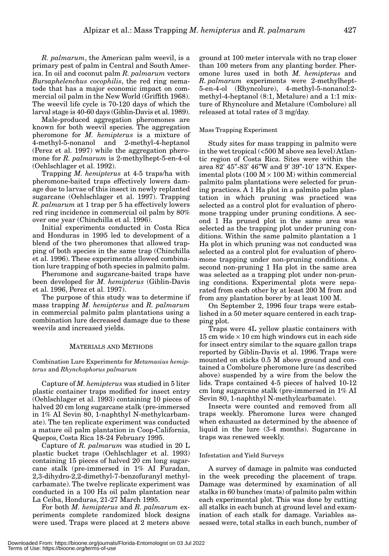*R. palmarum*, the American palm weevil, is a primary pest of palm in Central and South America. In oil and coconut palm *R. palmarum* vectors *Bursaphelenchus cocophilis*, the red ring nematode that has a major economic impact on commercial oil palm in the New World (Griffith 1968). The weevil life cycle is 70-120 days of which the larval stage is 40-60 days (Giblin-Davis et al. 1989).

Male-produced aggregation pheromones are known for both weevil species. The aggregation pheromone for *M. hemipterus* is a mixture of 4-methyl-5-nonanol and 2-methyl-4-heptanol (Perez et al. 1997) while the aggregation pheromone for *R. palmarum* is 2-methylhept-5-en-4-ol (Oehlschlager et al. 1992).

Trapping *M. hemipterus* at 4-5 traps/ha with pheromone-baited traps effectively lowers damage due to larvae of this insect in newly replanted sugarcane (Oehlschlager et al. 1997). Trapping *R. palmarum* at 1 trap per 5 ha effectively lowers red ring incidence in commercial oil palm by 80% over one year (Chinchilla et al. 1996).

Initial experiments conducted in Costa Rica and Honduras in 1995 led to development of a blend of the two pheromones that allowed trapping of both species in the same trap (Chinchilla et al. 1996). These experiments allowed combination lure trapping of both species in palmito palm.

Pheromone and sugarcane-baited traps have been developed for *M. hemipterus* (Giblin-Davis et al. 1996, Perez et al. 1997).

The purpose of this study was to determine if mass trapping *M. hemipterus* and *R. palmarum* in commercial palmito palm plantations using a combination lure decreased damage due to these weevils and increased yields.

## MATERIALS AND METHODS

Combination Lure Experiments for *Metamasius hemipterus* and *Rhynchophorus palmarum*

Capture of *M. hemipterus* was studied in 5 liter plastic container traps modified for insect entry (Oehlschlager et al. 1993) containing 10 pieces of halved 20 cm long sugarcane stalk (pre-immersed in 1% AI Sevin 80, 1-naphthyl N-methylcarbamate). The ten replicate experiment was conducted a mature oil palm plantation in Coop-California, Quepos, Costa Rica 18-24 February 1995.

Capture of *R. palmarum* was studied in 20 L plastic bucket traps (Oehlschlager et al. 1993) containing 15 pieces of halved 20 cm long sugarcane stalk (pre-immersed in 1% AI Furadan, 2,3-dihydro-2,2-dimethyl-7-benzofuranyl methylcarbamate). The twelve replicate experiment was conducted in a 100 Ha oil palm plantation near La Ceiba, Honduras, 21-27 March 1995.

For both *M. hemipterus* and *R. palmarum* experiments complete randomized block designs were used. Traps were placed at 2 meters above

ground at 100 meter intervals with no trap closer than 100 meters from any planting border. Pheromone lures used in both *M. hemipterus* and *R. palmarum* experiments were 2-methylhept-5-en-4-ol (Rhyncolure), 4-methyl-5-nonanol:2 methyl-4-heptanol (8:1, Metalure) and a 1:1 mixture of Rhyncolure and Metalure (Combolure) all released at total rates of 3 mg/day.

#### Mass Trapping Experiment

Study sites for mass trapping in palmito were in the wet tropical (<500 M above sea level) Atlantic region of Costa Rica. Sites were within the area 82' 45"-83' 46"W and 9' 39"-10' 13"N. Experimental plots  $(100 M \times 100 M)$  within commercial palmito palm plantations were selected for pruning practices. A 1 Ha plot in a palmito palm plantation in which pruning was practiced was selected as a control plot for evaluation of pheromone trapping under pruning conditions. A second 1 Ha pruned plot in the same area was selected as the trapping plot under pruning conditions. Within the same palmito plantation a 1 Ha plot in which pruning was not conducted was selected as a control plot for evaluation of pheromone trapping under non-pruning conditions. A second non-pruning 1 Ha plot in the same area was selected as a trapping plot under non-pruning conditions. Experimental plots were separated from each other by at least 200 M from and from any plantation borer by at least 100 M.

On September 2, 1996 four traps were established in a 50 meter square centered in each trapping plot.

Traps were 4L yellow plastic containers with 15 cm wide  $\times$  10 cm high windows cut in each side for insect entry similar to the square gallon traps reported by Giblin-Davis et al. 1996. Traps were mounted on sticks 0.5 M above ground and contained a Combolure pheromone lure (as described above) suspended by a wire from the below the lids. Traps contained 4-5 pieces of halved 10-12 cm long sugarcane stalk (pre-immersed in 1% AI Sevin 80, 1-naphthyl N-methylcarbamate).

Insects were counted and removed from all traps weekly. Pheromone lures were changed when exhausted as determined by the absence of liquid in the lure (3-4 months). Sugarcane in traps was renewed weekly.

#### Infestation and Yield Surveys

A survey of damage in palmito was conducted in the week preceding the placement of traps. Damage was determined by examination of all stalks in 60 bunches (mats) of palmito palm within each experimental plot. This was done by cutting all stalks in each bunch at ground level and examination of each stalk for damage. Variables assessed were, total stalks in each bunch, number of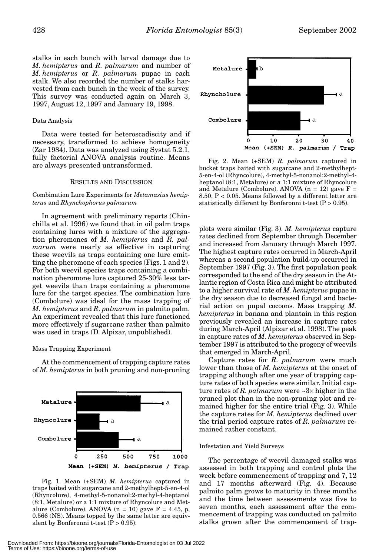stalks in each bunch with larval damage due to *M. hemipterus* and *R. palmarum* and number of *M. hemipterus* or *R. palmarum* pupae in each stalk. We also recorded the number of stalks harvested from each bunch in the week of the survey. This survey was conducted again on March 3, 1997, August 12, 1997 and January 19, 1998.

#### Data Analysis

Data were tested for heteroscadiscity and if necessary, transformed to achieve homogeneity (Zar 1984). Data was analyzed using Systat 5.2.1, fully factorial ANOVA analysis routine. Means are always presented untransformed.

# RESULTS AND DISCUSSION

### Combination Lure Experiments for *Metamasius hemipterus* and *Rhynchophorus palmarum*

In agreement with preliminary reports (Chinchilla et al. 1996) we found that in oil palm traps containing lures with a mixture of the aggregation pheromones of *M. hemipterus* and *R. palmarum* were nearly as effective in capturing these weevils as traps containing one lure emitting the pheromone of each species (Figs. 1 and 2). For both weevil species traps containing a combination pheromone lure captured 25-30% less target weevils than traps containing a pheromone lure for the target species. The combination lure (Combolure) was ideal for the mass trapping of *M. hemipterus* and *R. palmarum* in palmito palm. An experiment revealed that this lure functioned more effectively if sugarcane rather than palmito was used in traps (D. Alpizar, unpublished).

#### Mass Trapping Experiment

At the commencement of trapping capture rates of *M. hemipterus* in both pruning and non-pruning



Fig. 1. Mean (+SEM) *M. hemipterus* captured in traps baited with sugarcane and 2-methylhept-5-en-4-ol (Rhyncolure), 4-methyl-5-nonanol:2-methyl-4-heptanol (8:1, Metalure) or a 1:1 mixture of Rhyncolure and Metalure (Combolure). ANOVA  $(n = 10)$  gave  $F = 4.45$ , p, 0.566 (NS). Means topped by the same letter are equivalent by Bonferonni t-test ( $P > 0.95$ ).



Fig. 2. Mean (+SEM) *R. palmarum* captured in bucket traps baited with sugarcane and 2-methylhept-5-en-4-ol (Rhyncolure), 4-methyl-5-nonanol:2-methyl-4 heptanol (8:1, Metalure) or a 1:1 mixture of Rhyncolure and Metalure (Combolure). ANOVA  $(n = 12)$  gave  $F =$ 8.50, P < 0.05. Means followed by a different letter are statistically different by Bonferonni t-test  $(P > 0.95)$ .

plots were similar (Fig. 3). *M. hemipterus* capture rates declined from September through December and increased from January through March 1997. The highest capture rates occurred in March-April whereas a second population build-up occurred in September 1997 (Fig. 3). The first population peak corresponded to the end of the dry season in the Atlantic region of Costa Rica and might be attributed to a higher survival rate of *M. hemipterus* pupae in the dry season due to decreased fungal and bacterial action on pupal cocoons. Mass trapping *M. hemipterus* in banana and plantain in this region previously revealed an increase in capture rates during March-April (Alpizar et al. 1998). The peak in capture rates of *M. hemipterus* observed in September 1997 is attributed to the progeny of weevils that emerged in March-April.

Capture rates for *R. palmarum* were much lower than those of *M. hemipterus* at the onset of trapping although after one year of trapping capture rates of both species were similar. Initial capture rates of *R. palmarum* were ~3× higher in the pruned plot than in the non-pruning plot and remained higher for the entire trial (Fig. 3). While the capture rates for *M. hemipterus* declined over the trial period capture rates of *R. palmarum* remained rather constant.

#### Infestation and Yield Surveys

The percentage of weevil damaged stalks was assessed in both trapping and control plots the week before commencement of trapping and 7, 12 and 17 months afterward (Fig. 4). Because palmito palm grows to maturity in three months and the time between assessments was five to seven months, each assessment after the commencement of trapping was conducted on palmito stalks grown after the commencement of trap-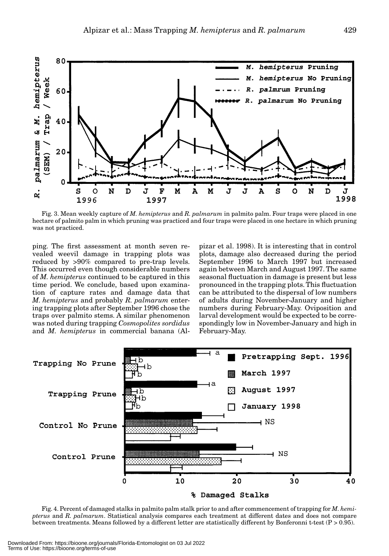

Fig. 3. Mean weekly capture of *M. hemipterus* and *R. palmarum* in palmito palm. Four traps were placed in one hectare of palmito palm in which pruning was practiced and four traps were placed in one hectare in which pruning was not practiced.

ping. The first assessment at month seven revealed weevil damage in trapping plots was reduced by >90% compared to pre-trap levels. This occurred even though considerable numbers of *M. hemipterus* continued to be captured in this time period. We conclude, based upon examination of capture rates and damage data that *M. hemipterus* and probably *R. palmarum* entering trapping plots after September 1996 chose the traps over palmito stems. A similar phenomenon was noted during trapping *Cosmopolites sordidus* and *M. hemipterus* in commercial banana (Al-

pizar et al. 1998). It is interesting that in control plots, damage also decreased during the period September 1996 to March 1997 but increased again between March and August 1997. The same seasonal fluctuation in damage is present but less pronounced in the trapping plots. This fluctuation can be attributed to the dispersal of low numbers of adults during November-January and higher numbers during February-May. Oviposition and larval development would be expected to be correspondingly low in November-January and high in February-May.



Fig. 4. Percent of damaged stalks in palmito palm stalk prior to and after commencement of trapping for *M. hemipterus* and *R. palmarum*. Statistical analysis compares each treatment at different dates and does not compare between treatments. Means followed by a different letter are statistically different by Bonferonni t-test  $(P > 0.95)$ .